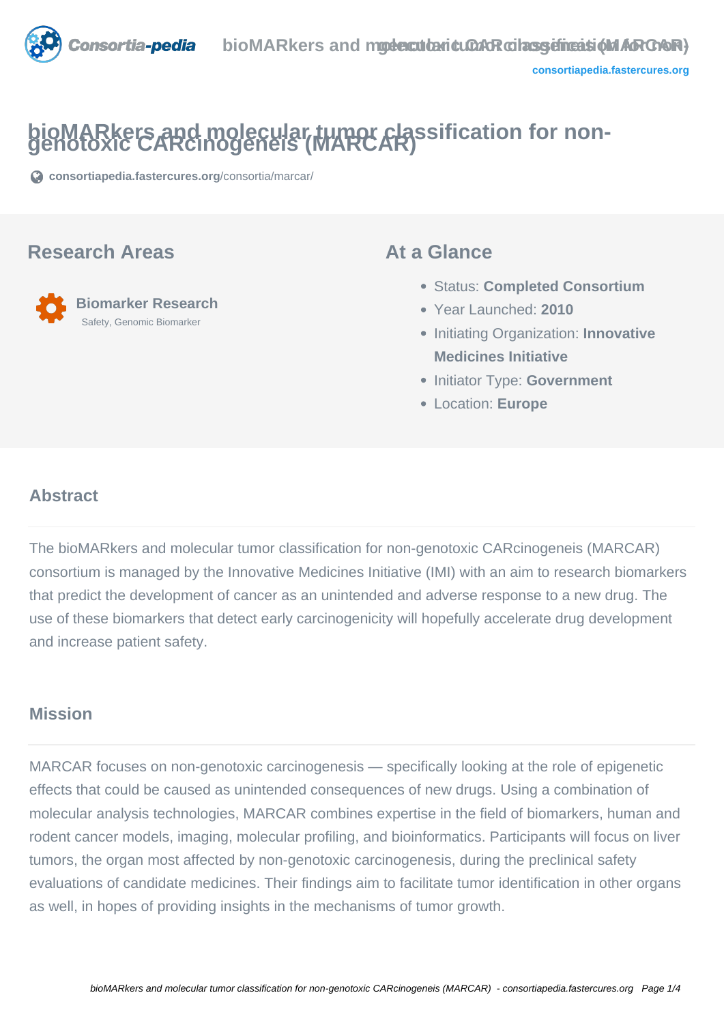

# **bioMARkers and molecular tumor classification for non- genotoxic CARcinogeneis (MARCAR)**

**[consortiapedia.fastercures.org](https://consortiapedia.fastercures.org/consortia/marcar/)**[/consortia/marcar/](https://consortiapedia.fastercures.org/consortia/marcar/)

#### **Research Areas**



#### **At a Glance**

- Status: **Completed Consortium**
- Year Launched: **2010**
- **Initiating Organization: Innovative Medicines Initiative**
- **Initiator Type: Government**
- Location: **Europe**

#### $\overline{a}$ **Abstract**

The bioMARkers and molecular tumor classification for non-genotoxic CARcinogeneis (MARCAR) consortium is managed by the Innovative Medicines Initiative (IMI) with an aim to research biomarkers that predict the development of cancer as an unintended and adverse response to a new drug. The use of these biomarkers that detect early carcinogenicity will hopefully accelerate drug development and increase patient safety.

#### **Mission**

MARCAR focuses on non-genotoxic carcinogenesis — specifically looking at the role of epigenetic effects that could be caused as unintended consequences of new drugs. Using a combination of molecular analysis technologies, MARCAR combines expertise in the field of biomarkers, human and rodent cancer models, imaging, molecular profiling, and bioinformatics. Participants will focus on liver tumors, the organ most affected by non-genotoxic carcinogenesis, during the preclinical safety evaluations of candidate medicines. Their findings aim to facilitate tumor identification in other organs as well, in hopes of providing insights in the mechanisms of tumor growth.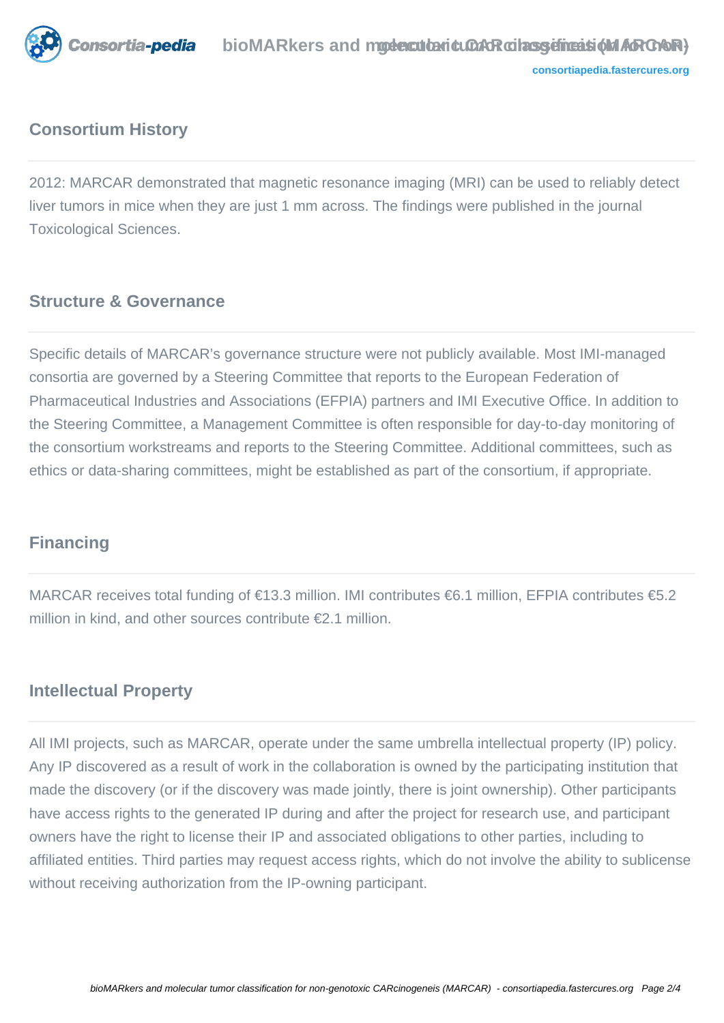

### **Consortium History**

2012: MARCAR demonstrated that magnetic resonance imaging (MRI) can be used to reliably detect liver tumors in mice when they are just 1 mm across. The findings were published in the journal Toxicological Sciences.

#### **Structure & Governance**

Specific details of MARCAR's governance structure were not publicly available. Most IMI-managed consortia are governed by a Steering Committee that reports to the European Federation of Pharmaceutical Industries and Associations (EFPIA) partners and IMI Executive Office. In addition to the Steering Committee, a Management Committee is often responsible for day-to-day monitoring of the consortium workstreams and reports to the Steering Committee. Additional committees, such as ethics or data-sharing committees, might be established as part of the consortium, if appropriate.

#### **Financing**

MARCAR receives total funding of €13.3 million. IMI contributes €6.1 million, EFPIA contributes €5.2 million in kind, and other sources contribute €2.1 million.

#### **Intellectual Property**

All IMI projects, such as MARCAR, operate under the same umbrella intellectual property (IP) policy. Any IP discovered as a result of work in the collaboration is owned by the participating institution that made the discovery (or if the discovery was made jointly, there is joint ownership). Other participants have access rights to the generated IP during and after the project for research use, and participant owners have the right to license their IP and associated obligations to other parties, including to affiliated entities. Third parties may request access rights, which do not involve the ability to sublicense without receiving authorization from the IP-owning participant.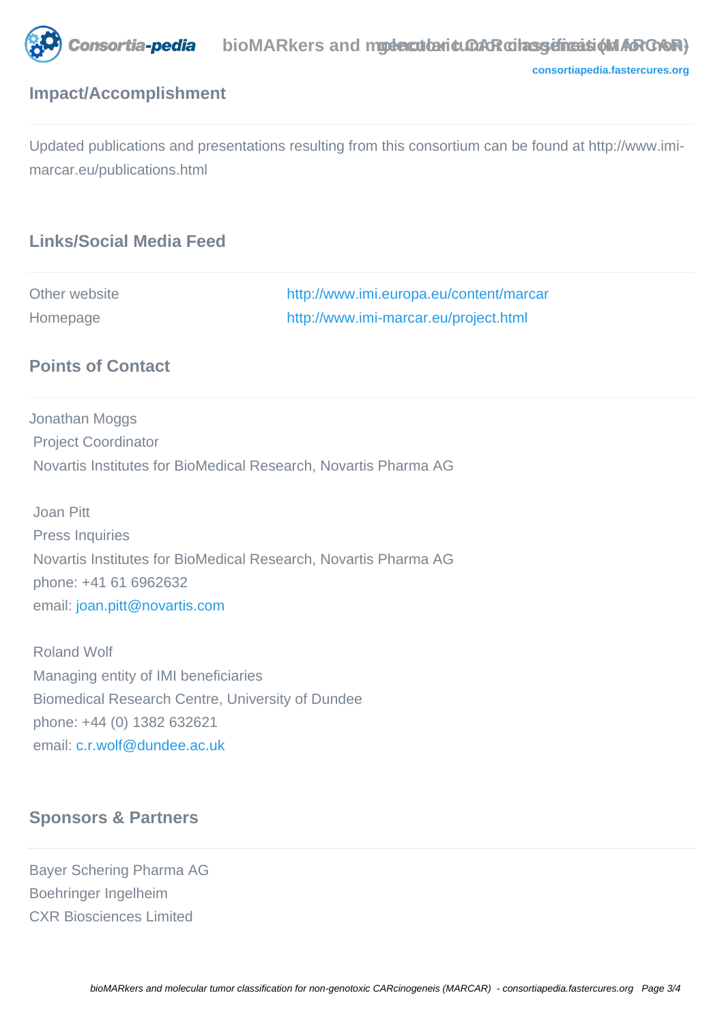

**[consortiapedia.fastercures.org](http://consortiapedia.fastercures.org/)**

### **Impact/Accomplishment**

Updated publications and presentations resulting from this consortium can be found at http://www.imimarcar.eu/publications.html

## **Links/Social Media Feed**

| Other website | http://www.imi.europa.eu/content/marcar |
|---------------|-----------------------------------------|
| Homepage      | http://www.imi-marcar.eu/project.html   |

#### **Points of Contact**

Jonathan Moggs Project Coordinator Novartis Institutes for BioMedical Research, Novartis Pharma AG

 Joan Pitt Press Inquiries Novartis Institutes for BioMedical Research, Novartis Pharma AG phone: +41 61 6962632 email: [joan.pitt@novartis.com](mailto:joan.pitt@novartis.com)

 Roland Wolf Managing entity of IMI beneficiaries Biomedical Research Centre, University of Dundee phone: +44 (0) 1382 632621 email: [c.r.wolf@dundee.ac.uk](mailto:c.r.wolf@dundee.ac.uk)

#### **Sponsors & Partners**

Bayer Schering Pharma AG Boehringer Ingelheim CXR Biosciences Limited